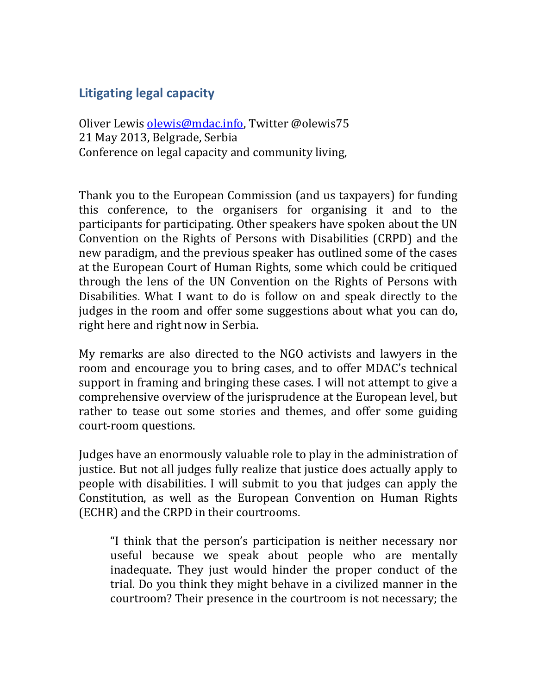# **Litigating legal capacity**

Oliver Lewis [olewis@mdac.info,](mailto:olewis@mdac.info) Twitter @olewis75 21 May 2013, Belgrade, Serbia Conference on legal capacity and community living,

Thank you to the European Commission (and us taxpayers) for funding this conference, to the organisers for organising it and to the participants for participating. Other speakers have spoken about the UN Convention on the Rights of Persons with Disabilities (CRPD) and the new paradigm, and the previous speaker has outlined some of the cases at the European Court of Human Rights, some which could be critiqued through the lens of the UN Convention on the Rights of Persons with Disabilities. What I want to do is follow on and speak directly to the judges in the room and offer some suggestions about what you can do, right here and right now in Serbia.

My remarks are also directed to the NGO activists and lawyers in the room and encourage you to bring cases, and to offer MDAC's technical support in framing and bringing these cases. I will not attempt to give a comprehensive overview of the jurisprudence at the European level, but rather to tease out some stories and themes, and offer some guiding court-room questions.

Judges have an enormously valuable role to play in the administration of justice. But not all judges fully realize that justice does actually apply to people with disabilities. I will submit to you that judges can apply the Constitution, as well as the European Convention on Human Rights (ECHR) and the CRPD in their courtrooms.

"I think that the person's participation is neither necessary nor useful because we speak about people who are mentally inadequate. They just would hinder the proper conduct of the trial. Do you think they might behave in a civilized manner in the courtroom? Their presence in the courtroom is not necessary; the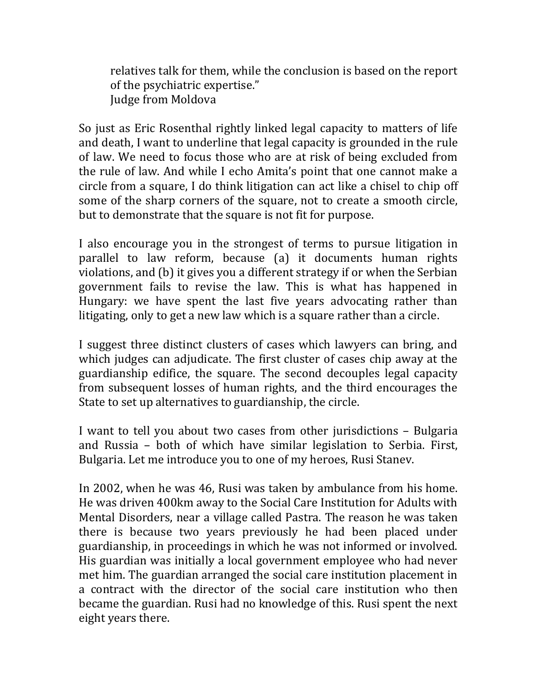relatives talk for them, while the conclusion is based on the report of the psychiatric expertise." Judge from Moldova

So just as Eric Rosenthal rightly linked legal capacity to matters of life and death, I want to underline that legal capacity is grounded in the rule of law. We need to focus those who are at risk of being excluded from the rule of law. And while I echo Amita's point that one cannot make a circle from a square, I do think litigation can act like a chisel to chip off some of the sharp corners of the square, not to create a smooth circle, but to demonstrate that the square is not fit for purpose.

I also encourage you in the strongest of terms to pursue litigation in parallel to law reform, because (a) it documents human rights violations, and (b) it gives you a different strategy if or when the Serbian government fails to revise the law. This is what has happened in Hungary: we have spent the last five years advocating rather than litigating, only to get a new law which is a square rather than a circle.

I suggest three distinct clusters of cases which lawyers can bring, and which judges can adjudicate. The first cluster of cases chip away at the guardianship edifice, the square. The second decouples legal capacity from subsequent losses of human rights, and the third encourages the State to set up alternatives to guardianship, the circle.

I want to tell you about two cases from other jurisdictions – Bulgaria and Russia – both of which have similar legislation to Serbia. First, Bulgaria. Let me introduce you to one of my heroes, Rusi Stanev.

In 2002, when he was 46, Rusi was taken by ambulance from his home. He was driven 400km away to the Social Care Institution for Adults with Mental Disorders, near a village called Pastra. The reason he was taken there is because two years previously he had been placed under guardianship, in proceedings in which he was not informed or involved. His guardian was initially a local government employee who had never met him. The guardian arranged the social care institution placement in a contract with the director of the social care institution who then became the guardian. Rusi had no knowledge of this. Rusi spent the next eight years there.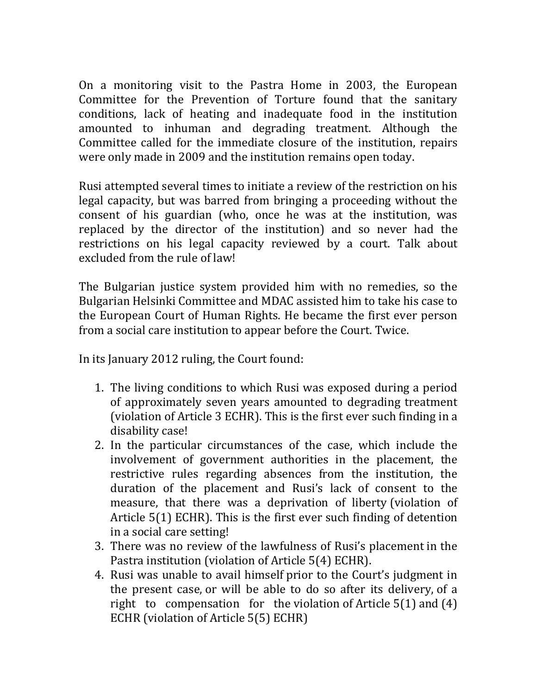On a monitoring visit to the Pastra Home in 2003, the European Committee for the Prevention of Torture found that the sanitary conditions, lack of heating and inadequate food in the institution amounted to inhuman and degrading treatment. Although the Committee called for the immediate closure of the institution, repairs were only made in 2009 and the institution remains open today.

Rusi attempted several times to initiate a review of the restriction on his legal capacity, but was barred from bringing a proceeding without the consent of his guardian (who, once he was at the institution, was replaced by the director of the institution) and so never had the restrictions on his legal capacity reviewed by a court. Talk about excluded from the rule of law!

The Bulgarian justice system provided him with no remedies, so the Bulgarian Helsinki Committee and MDAC assisted him to take his case to the European Court of Human Rights. He became the first ever person from a social care institution to appear before the Court. Twice.

In its January 2012 ruling, the Court found:

- 1. The living conditions to which Rusi was exposed during a period of approximately seven years amounted to degrading treatment (violation of Article 3 ECHR). This is the first ever such finding in a disability case!
- 2. In the particular circumstances of the case, which include the involvement of government authorities in the placement, the restrictive rules regarding absences from the institution, the duration of the placement and Rusi's lack of consent to the measure, that there was a deprivation of liberty (violation of Article 5(1) ECHR). This is the first ever such finding of detention in a social care setting!
- 3. There was no review of the lawfulness of Rusi's placement in the Pastra institution (violation of Article 5(4) ECHR).
- 4. Rusi was unable to avail himself prior to the Court's judgment in the present case, or will be able to do so after its delivery, of a right to compensation for the violation of Article 5(1) and (4) ECHR (violation of Article 5(5) ECHR)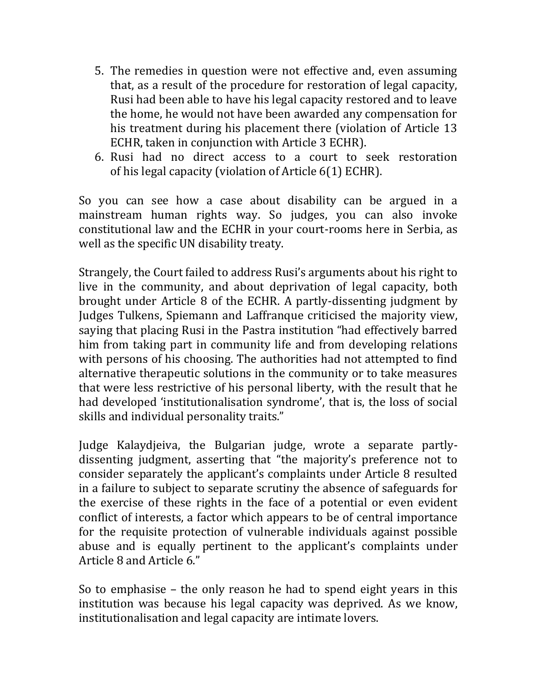- 5. The remedies in question were not effective and, even assuming that, as a result of the procedure for restoration of legal capacity, Rusi had been able to have his legal capacity restored and to leave the home, he would not have been awarded any compensation for his treatment during his placement there (violation of Article 13 ECHR, taken in conjunction with Article 3 ECHR).
- 6. Rusi had no direct access to a court to seek restoration of his legal capacity (violation of Article 6(1) ECHR).

So you can see how a case about disability can be argued in a mainstream human rights way. So judges, you can also invoke constitutional law and the ECHR in your court-rooms here in Serbia, as well as the specific UN disability treaty.

Strangely, the Court failed to address Rusi's arguments about his right to live in the community, and about deprivation of legal capacity, both brought under Article 8 of the ECHR. A partly-dissenting judgment by Judges Tulkens, Spiemann and Laffranque criticised the majority view, saying that placing Rusi in the Pastra institution "had effectively barred him from taking part in community life and from developing relations with persons of his choosing. The authorities had not attempted to find alternative therapeutic solutions in the community or to take measures that were less restrictive of his personal liberty, with the result that he had developed 'institutionalisation syndrome', that is, the loss of social skills and individual personality traits."

Judge Kalaydjeiva, the Bulgarian judge, wrote a separate partlydissenting judgment, asserting that "the majority's preference not to consider separately the applicant's complaints under Article 8 resulted in a failure to subject to separate scrutiny the absence of safeguards for the exercise of these rights in the face of a potential or even evident conflict of interests, a factor which appears to be of central importance for the requisite protection of vulnerable individuals against possible abuse and is equally pertinent to the applicant's complaints under Article 8 and Article 6."

So to emphasise – the only reason he had to spend eight years in this institution was because his legal capacity was deprived. As we know, institutionalisation and legal capacity are intimate lovers.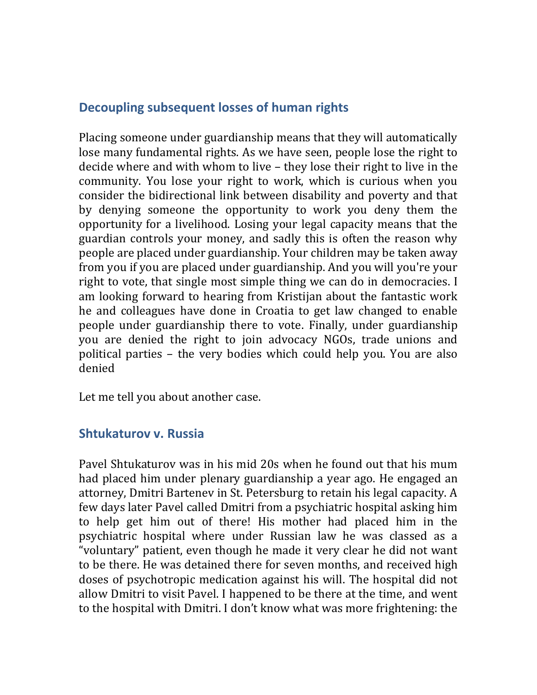## **Decoupling subsequent losses of human rights**

Placing someone under guardianship means that they will automatically lose many fundamental rights. As we have seen, people lose the right to decide where and with whom to live – they lose their right to live in the community. You lose your right to work, which is curious when you consider the bidirectional link between disability and poverty and that by denying someone the opportunity to work you deny them the opportunity for a livelihood. Losing your legal capacity means that the guardian controls your money, and sadly this is often the reason why people are placed under guardianship. Your children may be taken away from you if you are placed under guardianship. And you will you're your right to vote, that single most simple thing we can do in democracies. I am looking forward to hearing from Kristijan about the fantastic work he and colleagues have done in Croatia to get law changed to enable people under guardianship there to vote. Finally, under guardianship you are denied the right to join advocacy NGOs, trade unions and political parties – the very bodies which could help you. You are also denied

Let me tell you about another case.

#### **Shtukaturov v. Russia**

Pavel Shtukaturov was in his mid 20s when he found out that his mum had placed him under plenary guardianship a year ago. He engaged an attorney, Dmitri Bartenev in St. Petersburg to retain his legal capacity. A few days later Pavel called Dmitri from a psychiatric hospital asking him to help get him out of there! His mother had placed him in the psychiatric hospital where under Russian law he was classed as a "voluntary" patient, even though he made it very clear he did not want to be there. He was detained there for seven months, and received high doses of psychotropic medication against his will. The hospital did not allow Dmitri to visit Pavel. I happened to be there at the time, and went to the hospital with Dmitri. I don't know what was more frightening: the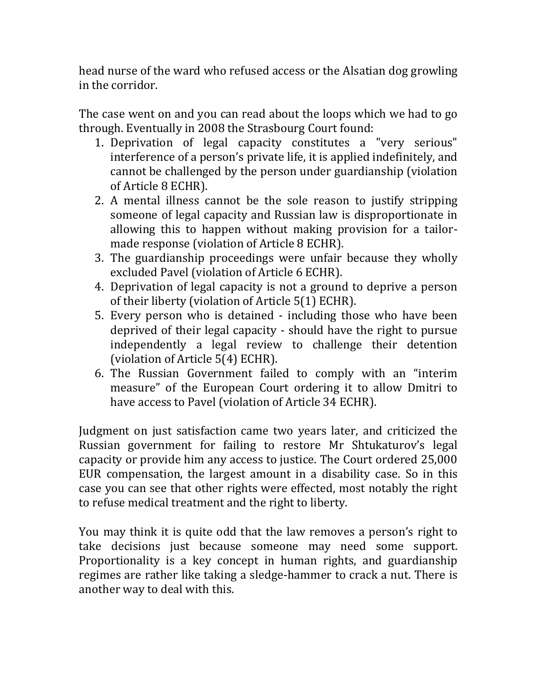head nurse of the ward who refused access or the Alsatian dog growling in the corridor.

The case went on and you can read about the loops which we had to go through. Eventually in 2008 the Strasbourg Court found:

- 1. Deprivation of legal capacity constitutes a "very serious" interference of a person's private life, it is applied indefinitely, and cannot be challenged by the person under guardianship (violation of Article 8 ECHR).
- 2. A mental illness cannot be the sole reason to justify stripping someone of legal capacity and Russian law is disproportionate in allowing this to happen without making provision for a tailormade response (violation of Article 8 ECHR).
- 3. The guardianship proceedings were unfair because they wholly excluded Pavel (violation of Article 6 ECHR).
- 4. Deprivation of legal capacity is not a ground to deprive a person of their liberty (violation of Article 5(1) ECHR).
- 5. Every person who is detained including those who have been deprived of their legal capacity - should have the right to pursue independently a legal review to challenge their detention (violation of Article 5(4) ECHR).
- 6. The Russian Government failed to comply with an "interim measure" of the European Court ordering it to allow Dmitri to have access to Pavel (violation of Article 34 ECHR).

Judgment on just satisfaction came two years later, and criticized the Russian government for failing to restore Mr Shtukaturov's legal capacity or provide him any access to justice. The Court ordered 25,000 EUR compensation, the largest amount in a disability case. So in this case you can see that other rights were effected, most notably the right to refuse medical treatment and the right to liberty.

You may think it is quite odd that the law removes a person's right to take decisions just because someone may need some support. Proportionality is a key concept in human rights, and guardianship regimes are rather like taking a sledge-hammer to crack a nut. There is another way to deal with this.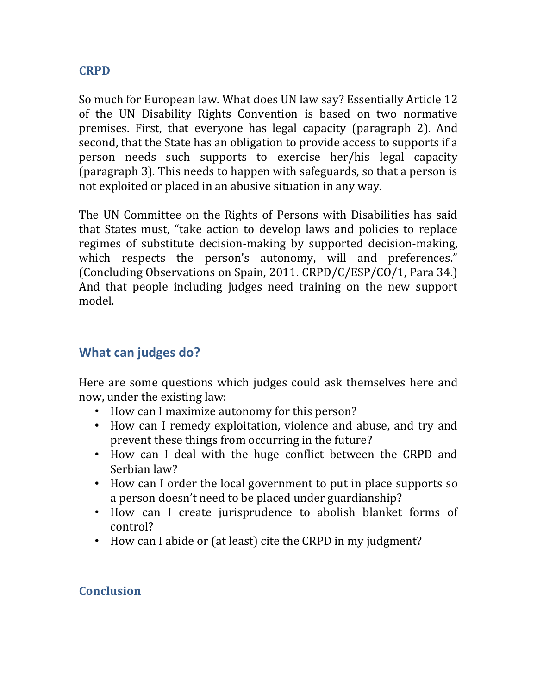#### **CRPD**

So much for European law. What does UN law say? Essentially Article 12 of the UN Disability Rights Convention is based on two normative premises. First, that everyone has legal capacity (paragraph 2). And second, that the State has an obligation to provide access to supports if a person needs such supports to exercise her/his legal capacity (paragraph 3). This needs to happen with safeguards, so that a person is not exploited or placed in an abusive situation in any way.

The UN Committee on the Rights of Persons with Disabilities has said that States must, "take action to develop laws and policies to replace regimes of substitute decision-making by supported decision-making, which respects the person's autonomy, will and preferences." (Concluding Observations on Spain, 2011. CRPD/C/ESP/CO/1, Para 34.) And that people including judges need training on the new support model.

## **What can judges do?**

Here are some questions which judges could ask themselves here and now, under the existing law:

- How can I maximize autonomy for this person?
- How can I remedy exploitation, violence and abuse, and try and prevent these things from occurring in the future?
- How can I deal with the huge conflict between the CRPD and Serbian law?
- How can I order the local government to put in place supports so a person doesn't need to be placed under guardianship?
- How can I create jurisprudence to abolish blanket forms of control?
- How can I abide or (at least) cite the CRPD in my judgment?

### **Conclusion**